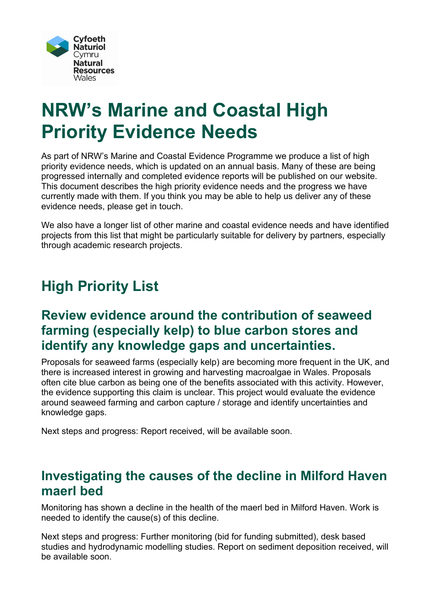

# **NRW's Marine and Coastal High Priority Evidence Needs**

As part of NRW's Marine and Coastal Evidence Programme we produce a list of high priority evidence needs, which is updated on an annual basis. Many of these are being progressed internally and completed evidence reports will be published on our website. This document describes the high priority evidence needs and the progress we have currently made with them. If you think you may be able to help us deliver any of these evidence needs, please get in touch.

We also have a longer list of other marine and coastal evidence needs and have identified projects from this list that might be particularly suitable for delivery by partners, especially through academic research projects.

# **High Priority List**

#### **Review evidence around the contribution of seaweed farming (especially kelp) to blue carbon stores and identify any knowledge gaps and uncertainties.**

Proposals for seaweed farms (especially kelp) are becoming more frequent in the UK, and there is increased interest in growing and harvesting macroalgae in Wales. Proposals often cite blue carbon as being one of the benefits associated with this activity. However, the evidence supporting this claim is unclear. This project would evaluate the evidence around seaweed farming and carbon capture / storage and identify uncertainties and knowledge gaps.

Next steps and progress: Report received, will be available soon.

#### **Investigating the causes of the decline in Milford Haven maerl bed**

Monitoring has shown a decline in the health of the maerl bed in Milford Haven. Work is needed to identify the cause(s) of this decline.

Next steps and progress: Further monitoring (bid for funding submitted), desk based studies and hydrodynamic modelling studies. Report on sediment deposition received, will be available soon.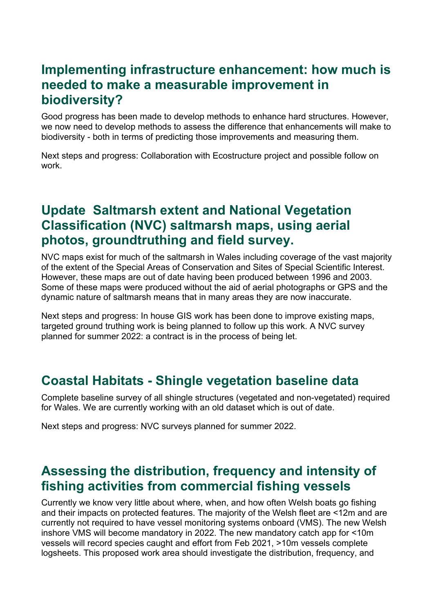#### **Implementing infrastructure enhancement: how much is needed to make a measurable improvement in biodiversity?**

Good progress has been made to develop methods to enhance hard structures. However, we now need to develop methods to assess the difference that enhancements will make to biodiversity - both in terms of predicting those improvements and measuring them.

Next steps and progress: Collaboration with Ecostructure project and possible follow on work.

## **Update Saltmarsh extent and National Vegetation Classification (NVC) saltmarsh maps, using aerial photos, groundtruthing and field survey.**

NVC maps exist for much of the saltmarsh in Wales including coverage of the vast majority of the extent of the Special Areas of Conservation and Sites of Special Scientific Interest. However, these maps are out of date having been produced between 1996 and 2003. Some of these maps were produced without the aid of aerial photographs or GPS and the dynamic nature of saltmarsh means that in many areas they are now inaccurate.

Next steps and progress: In house GIS work has been done to improve existing maps, targeted ground truthing work is being planned to follow up this work. A NVC survey planned for summer 2022: a contract is in the process of being let.

## **Coastal Habitats - Shingle vegetation baseline data**

Complete baseline survey of all shingle structures (vegetated and non-vegetated) required for Wales. We are currently working with an old dataset which is out of date.

Next steps and progress: NVC surveys planned for summer 2022.

## **Assessing the distribution, frequency and intensity of fishing activities from commercial fishing vessels**

Currently we know very little about where, when, and how often Welsh boats go fishing and their impacts on protected features. The majority of the Welsh fleet are <12m and are currently not required to have vessel monitoring systems onboard (VMS). The new Welsh inshore VMS will become mandatory in 2022. The new mandatory catch app for <10m vessels will record species caught and effort from Feb 2021, >10m vessels complete logsheets. This proposed work area should investigate the distribution, frequency, and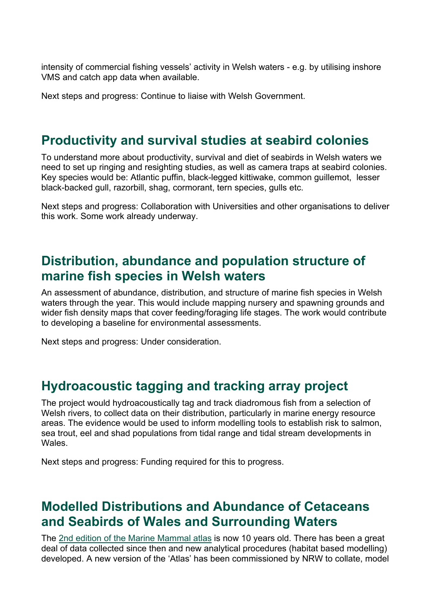intensity of commercial fishing vessels' activity in Welsh waters - e.g. by utilising inshore VMS and catch app data when available.

Next steps and progress: Continue to liaise with Welsh Government.

#### **Productivity and survival studies at seabird colonies**

To understand more about productivity, survival and diet of seabirds in Welsh waters we need to set up ringing and resighting studies, as well as camera traps at seabird colonies. Key species would be: Atlantic puffin, black-legged kittiwake, common guillemot, lesser black-backed gull, razorbill, shag, cormorant, tern species, gulls etc.

Next steps and progress: Collaboration with Universities and other organisations to deliver this work. Some work already underway.

#### **Distribution, abundance and population structure of marine fish species in Welsh waters**

An assessment of abundance, distribution, and structure of marine fish species in Welsh waters through the year. This would include mapping nursery and spawning grounds and wider fish density maps that cover feeding/foraging life stages. The work would contribute to developing a baseline for environmental assessments.

Next steps and progress: Under consideration.

#### **Hydroacoustic tagging and tracking array project**

The project would hydroacoustically tag and track diadromous fish from a selection of Welsh rivers, to collect data on their distribution, particularly in marine energy resource areas. The evidence would be used to inform modelling tools to establish risk to salmon, sea trout, eel and shad populations from tidal range and tidal stream developments in **Wales** 

Next steps and progress: Funding required for this to progress.

#### **Modelled Distributions and Abundance of Cetaceans and Seabirds of Wales and Surrounding Waters**

The [2nd edition of the Marine Mammal atlas](https://www.seawatchfoundation.org.uk/wp-content/uploads/2015/05/ATLAS-Marine-Mammals-of-Wales-FINAL.pdf) is now 10 years old. There has been a great deal of data collected since then and new analytical procedures (habitat based modelling) developed. A new version of the 'Atlas' has been commissioned by NRW to collate, model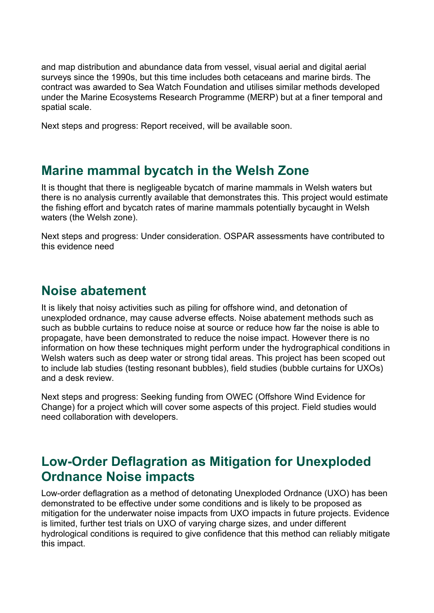and map distribution and abundance data from vessel, visual aerial and digital aerial surveys since the 1990s, but this time includes both cetaceans and marine birds. The contract was awarded to Sea Watch Foundation and utilises similar methods developed under the Marine Ecosystems Research Programme (MERP) but at a finer temporal and spatial scale.

Next steps and progress: Report received, will be available soon.

#### **Marine mammal bycatch in the Welsh Zone**

It is thought that there is negligeable bycatch of marine mammals in Welsh waters but there is no analysis currently available that demonstrates this. This project would estimate the fishing effort and bycatch rates of marine mammals potentially bycaught in Welsh waters (the Welsh zone).

Next steps and progress: Under consideration. OSPAR assessments have contributed to this evidence need

#### **Noise abatement**

It is likely that noisy activities such as piling for offshore wind, and detonation of unexploded ordnance, may cause adverse effects. Noise abatement methods such as such as bubble curtains to reduce noise at source or reduce how far the noise is able to propagate, have been demonstrated to reduce the noise impact. However there is no information on how these techniques might perform under the hydrographical conditions in Welsh waters such as deep water or strong tidal areas. This project has been scoped out to include lab studies (testing resonant bubbles), field studies (bubble curtains for UXOs) and a desk review.

Next steps and progress: Seeking funding from OWEC (Offshore Wind Evidence for Change) for a project which will cover some aspects of this project. Field studies would need collaboration with developers.

## **Low-Order Deflagration as Mitigation for Unexploded Ordnance Noise impacts**

Low-order deflagration as a method of detonating Unexploded Ordnance (UXO) has been demonstrated to be effective under some conditions and is likely to be proposed as mitigation for the underwater noise impacts from UXO impacts in future projects. Evidence is limited, further test trials on UXO of varying charge sizes, and under different hydrological conditions is required to give confidence that this method can reliably mitigate this impact.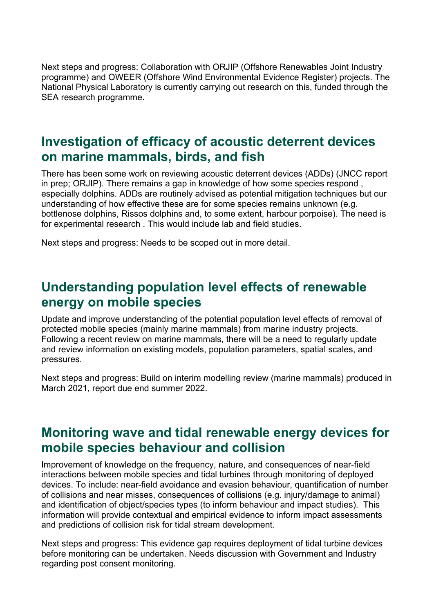Next steps and progress: Collaboration with ORJIP (Offshore Renewables Joint Industry programme) and OWEER (Offshore Wind Environmental Evidence Register) projects. The National Physical Laboratory is currently carrying out research on this, funded through the SEA research programme.

#### **Investigation of efficacy of acoustic deterrent devices on marine mammals, birds, and fish**

There has been some work on reviewing acoustic deterrent devices (ADDs) (JNCC report in prep; ORJIP). There remains a gap in knowledge of how some species respond , especially dolphins. ADDs are routinely advised as potential mitigation techniques but our understanding of how effective these are for some species remains unknown (e.g. bottlenose dolphins, Rissos dolphins and, to some extent, harbour porpoise). The need is for experimental research . This would include lab and field studies.

Next steps and progress: Needs to be scoped out in more detail.

#### **Understanding population level effects of renewable energy on mobile species**

Update and improve understanding of the potential population level effects of removal of protected mobile species (mainly marine mammals) from marine industry projects. Following a recent review on marine mammals, there will be a need to regularly update and review information on existing models, population parameters, spatial scales, and pressures.

Next steps and progress: Build on interim modelling review (marine mammals) produced in March 2021, report due end summer 2022.

#### **Monitoring wave and tidal renewable energy devices for mobile species behaviour and collision**

Improvement of knowledge on the frequency, nature, and consequences of near-field interactions between mobile species and tidal turbines through monitoring of deployed devices. To include: near-field avoidance and evasion behaviour, quantification of number of collisions and near misses, consequences of collisions (e.g. injury/damage to animal) and identification of object/species types (to inform behaviour and impact studies). This information will provide contextual and empirical evidence to inform impact assessments and predictions of collision risk for tidal stream development.

Next steps and progress: This evidence gap requires deployment of tidal turbine devices before monitoring can be undertaken. Needs discussion with Government and Industry regarding post consent monitoring.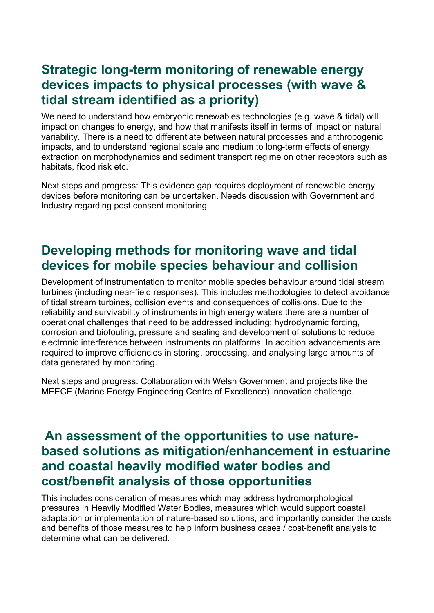## **Strategic long-term monitoring of renewable energy devices impacts to physical processes (with wave & tidal stream identified as a priority)**

We need to understand how embryonic renewables technologies (e.g. wave & tidal) will impact on changes to energy, and how that manifests itself in terms of impact on natural variability. There is a need to differentiate between natural processes and anthropogenic impacts, and to understand regional scale and medium to long-term effects of energy extraction on morphodynamics and sediment transport regime on other receptors such as habitats, flood risk etc.

Next steps and progress: This evidence gap requires deployment of renewable energy devices before monitoring can be undertaken. Needs discussion with Government and Industry regarding post consent monitoring.

## **Developing methods for monitoring wave and tidal devices for mobile species behaviour and collision**

Development of instrumentation to monitor mobile species behaviour around tidal stream turbines (including near-field responses). This includes methodologies to detect avoidance of tidal stream turbines, collision events and consequences of collisions. Due to the reliability and survivability of instruments in high energy waters there are a number of operational challenges that need to be addressed including: hydrodynamic forcing, corrosion and biofouling, pressure and sealing and development of solutions to reduce electronic interference between instruments on platforms. In addition advancements are required to improve efficiencies in storing, processing, and analysing large amounts of data generated by monitoring.

Next steps and progress: Collaboration with Welsh Government and projects like the MEECE (Marine Energy Engineering Centre of Excellence) innovation challenge.

#### **An assessment of the opportunities to use naturebased solutions as mitigation/enhancement in estuarine and coastal heavily modified water bodies and cost/benefit analysis of those opportunities**

This includes consideration of measures which may address hydromorphological pressures in Heavily Modified Water Bodies, measures which would support coastal adaptation or implementation of nature-based solutions, and importantly consider the costs and benefits of those measures to help inform business cases / cost-benefit analysis to determine what can be delivered.